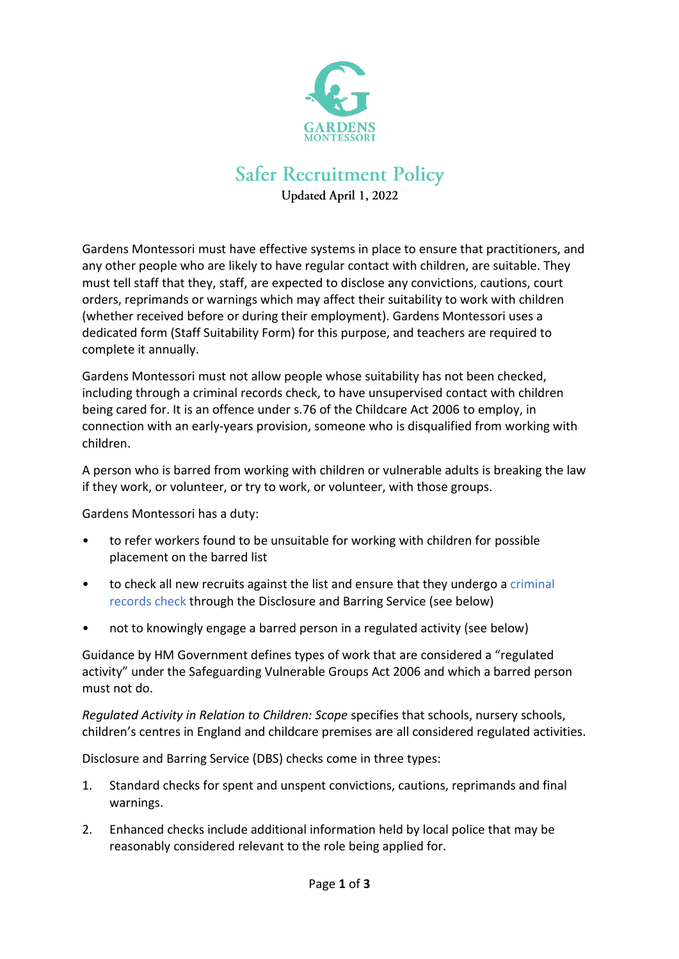

## **Safer Recruitment Policy**

Updated April 1, 2022

Gardens Montessori must have effective systems in place to ensure that practitioners, and any other people who are likely to have regular contact with children, are suitable. They must tell staff that they, staff, are expected to disclose any convictions, cautions, court orders, reprimands or warnings which may affect their suitability to work with children (whether received before or during their employment). Gardens Montessori uses a dedicated form (Staff Suitability Form) for this purpose, and teachers are required to complete it annually.

Gardens Montessori must not allow people whose suitability has not been checked, including through a criminal records check, to have unsupervised contact with children being cared for. It is an offence under s.76 of the Childcare Act 2006 to employ, in connection with an early-years provision, someone who is disqualified from working with children.

A person who is barred from working with children or vulnerable adults is breaking the law if they work, or volunteer, or try to work, or volunteer, with those groups.

Gardens Montessori has a duty:

- to refer workers found to be unsuitable for working with children for possible placement on the barred list
- to check all new recruits against the list and ensure that they undergo a [criminal](https://dot2dot.croneri.co.uk/topics/disclosure-and-barring-service-checks/quickfacts#WKID-201401061225480394-69656007)  [records check](https://dot2dot.croneri.co.uk/topics/disclosure-and-barring-service-checks/quickfacts#WKID-201401061225480394-69656007) through the Disclosure and Barring Service (see below)
- not to knowingly engage a barred person in a regulated activity (see below)

Guidance by HM Government defines types of work that are considered a "regulated activity" under the Safeguarding Vulnerable Groups Act 2006 and which a barred person must not do.

*Regulated Activity in Relation to Children: Scope* specifies that schools, nursery schools, children's centres in England and childcare premises are all considered regulated activities.

Disclosure and Barring Service (DBS) checks come in three types:

- 1. Standard checks for spent and unspent convictions, cautions, reprimands and final warnings.
- 2. Enhanced checks include additional information held by local police that may be reasonably considered relevant to the role being applied for.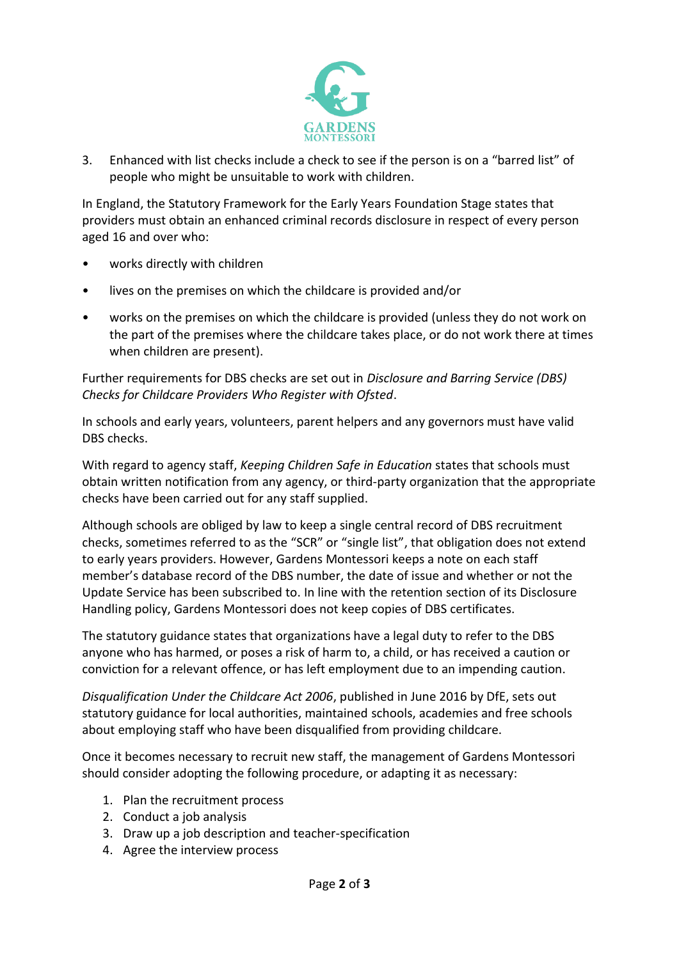

3. Enhanced with list checks include a check to see if the person is on a "barred list" of people who might be unsuitable to work with children.

In England, the Statutory Framework for the Early Years Foundation Stage states that providers must obtain an enhanced criminal records disclosure in respect of every person aged 16 and over who:

- works directly with children
- lives on the premises on which the childcare is provided and/or
- works on the premises on which the childcare is provided (unless they do not work on the part of the premises where the childcare takes place, or do not work there at times when children are present).

Further requirements for DBS checks are set out in *Disclosure and Barring Service (DBS) Checks for Childcare Providers Who Register with Ofsted*.

In schools and early years, volunteers, parent helpers and any governors must have valid DBS checks.

With regard to agency staff, *Keeping Children Safe in Education* states that schools must obtain written notification from any agency, or third-party organization that the appropriate checks have been carried out for any staff supplied.

Although schools are obliged by law to keep a single central record of DBS recruitment checks, sometimes referred to as the "SCR" or "single list", that obligation does not extend to early years providers. However, Gardens Montessori keeps a note on each staff member's database record of the DBS number, the date of issue and whether or not the Update Service has been subscribed to. In line with the retention section of its Disclosure Handling policy, Gardens Montessori does not keep copies of DBS certificates.

The statutory guidance states that organizations have a legal duty to refer to the DBS anyone who has harmed, or poses a risk of harm to, a child, or has received a caution or conviction for a relevant offence, or has left employment due to an impending caution.

*Disqualification Under the Childcare Act 2006*, published in June 2016 by DfE, sets out statutory guidance for local authorities, maintained schools, academies and free schools about employing staff who have been disqualified from providing childcare.

Once it becomes necessary to recruit new staff, the management of Gardens Montessori should consider adopting the following procedure, or adapting it as necessary:

- 1. Plan the recruitment process
- 2. Conduct a job analysis
- 3. Draw up a job description and teacher-specification
- 4. Agree the interview process